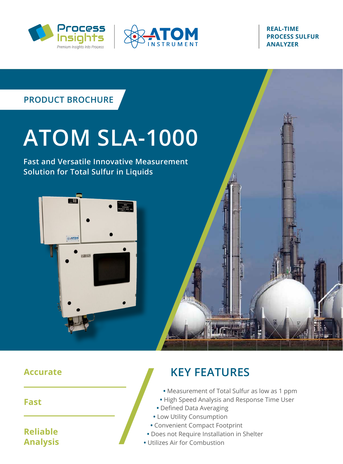



#### **REAL-TIME PROCESS SULFUR ANALYZER**

# **PRODUCT BROCHURE**

# **ATOM SLA-1000**

**Fast and Versatile Innovative Measurement Solution for Total Sulfur in Liquids**



#### **Accurate**

**Fast**

#### **Reliable Analysis**

# **KEY FEATURES**

**•** Measurement of Total Sulfur as low as 1 ppm

**DELLE DE LA CAT** 

- **•** High Speed Analysis and Response Time User
- **•** Defined Data Averaging
- **•** Low Utility Consumption
- **•** Convenient Compact Footprint
- **•** Does not Require Installation in Shelter
- **•** Utilizes Air for Combustion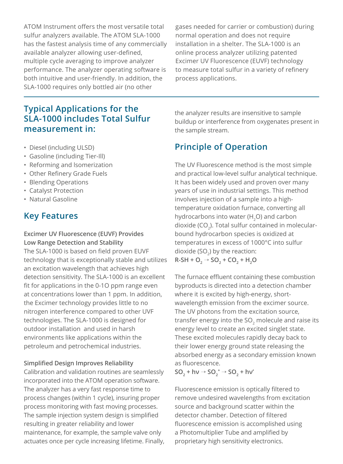ATOM Instrument offers the most versatile total sulfur analyzers available. The ATOM SLA-1000 has the fastest analysis time of any commercially available analyzer allowing user-defined, multiple cycle averaging to improve analyzer performance. The analyzer operating software is both intuitive and user-friendly. In addition, the SLA-1000 requires only bottled air (no other

**Typical Applications for the SLA-1000 includes Total Sulfur measurement in:**

- Diesel (including ULSD)
- Gasoline (including Tier-Ill)
- Reforming and lsomerization
- Other Refinery Grade Fuels
- Blending Operations
- Catalyst Protection
- Natural Gasoline

#### **Key Features**

#### **Excimer UV Fluorescence (EUVF) Provides Low Range Detection and Stability**

The SLA-1000 is based on field proven EUVF technology that is exceptionally stable and utilizes an excitation wavelength that achieves high detection sensitivity. The SLA-1000 is an excellent fit for applications in the 0-1O ppm range even at concentrations lower than 1 ppm. In addition, the Excimer technology provides little to no nitrogen interference compared to other UVF technologies. The SLA-1000 is designed for outdoor installation and used in harsh environments like applications within the petroleum and petrochemical industries.

#### **Simplified Design Improves Reliability**

Calibration and validation routines are seamlessly incorporated into the ATOM operation software. The analyzer has a very fast response time to process changes (within 1 cycle), insuring proper process monitoring with fast moving processes. The sample injection system design is simplified resulting in greater reliability and lower maintenance, for example, the sample valve only actuates once per cycle increasing lifetime. Finally, gases needed for carrier or combustion) during normal operation and does not require installation in a shelter. The SLA-1000 is an online process analyzer utilizing patented Excimer UV Fluorescence (EUVF) technology to measure total sulfur in a variety of refinery process applications.

the analyzer results are insensitive to sample buildup or interference from oxygenates present in the sample stream.

#### **Principle of Operation**

The UV Fluorescence method is the most simple and practical low-level sulfur analytical technique. It has been widely used and proven over many years of use in industrial settings. This method involves injection of a sample into a hightemperature oxidation furnace, converting all hydrocarbons into water  $(H, O)$  and carbon dioxide ( $CO<sub>2</sub>$ ). Total sulfur contained in molecularbound hydrocarbon species is oxidized at temperatures in excess of 1000°C into sulfur dioxide (SO $_{2}$ ) by the reaction:  $R-SH + O_2 \rightarrow SO_2 + CO_2 + H_2$ 

The furnace effluent containing these combustion byproducts is directed into a detection chamber where it is excited by high-energy, shortwavelength emission from the excimer source. The UV photons from the excitation source, transfer energy into the SO<sub>2</sub> molecule and raise its energy level to create an excited singlet state. These excited molecules rapidly decay back to their lower energy ground state releasing the absorbed energy as a secondary emission known as fluorescence.

 $SO_2$  + hv  $\rightarrow$   $SO_2$ <sup>\*</sup>  $\rightarrow$   $SO_2$  + hv'

Fluorescence emission is optically filtered to remove undesired wavelengths from excitation source and background scatter within the detector chamber. Detection of filtered fluorescence emission is accomplished using a Photomultiplier Tube and amplified by proprietary high sensitivity electronics.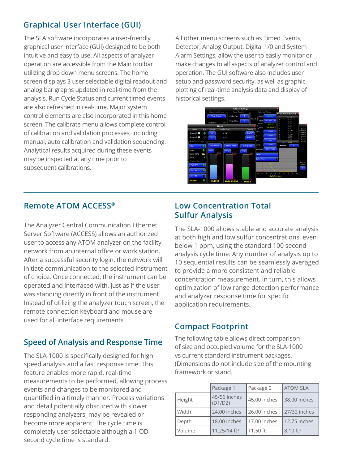#### **Graphical User Interface (GUI)**

The SLA software incorporates a user-friendly graphical user interface (GUI) designed to be both intuitive and easy to use. All aspects of analyzer operation are accessible from the Main toolbar utilizing drop down menu screens. The home screen displays 3 user selectable digital readout and analog bar graphs updated in real-time from the analysis. Run Cycle Status and current timed events are also refreshed in real-time. Major system control elements are also incorporated in this home screen. The calibrate menu allows complete control of calibration and validation processes, including manual, auto calibration and validation sequencing. Analytical results acquired during these events may be inspected at any time prior to subsequent calibrations.

All other menu screens such as Timed Events, Detector, Analog Output, Digital 1/0 and System Alarm Settings, allow the user to easily monitor or make changes to all aspects of analyzer control and operation. The GUI software also includes user setup and password security, as well as graphic plotting of real-time analysis data and display of historical settings.



#### **Remote ATOM ACCESS®**

The Analyzer Central Communication Ethernet Server Software (ACCESS) allows an authorized user to access any ATOM analyzer on the facility network from an internal office or work station. After a successful security login, the network will initiate communication to the selected instrument of choice. Once connected, the instrument can be operated and interfaced with, just as if the user was standing directly in front of the instrument. Instead of utilizing the analyzer touch screen, the remote connection keyboard and mouse are used for all interface requirements.

#### **Speed of Analysis and Response Time**

The SLA-1000 is specifically designed for high speed analysis and a fast response time. This feature enables more rapid, real-time measurements to be performed, allowing process events and changes to be monitored and quantified in a timely manner. Process variations and detail potentially obscured with slower responding analyzers, may be revealed or become more apparent. The cycle time is completely user selectable although a 1 ODsecond cycle time is standard.

#### **Low Concentration Total Sulfur Analysis**

The SLA-1000 allows stable and accurate analysis at both high and low sulfur concentrations, even below 1 ppm, using the standard 100 second analysis cycle time. Any number of analysis up to 10 sequential results can be seamlessly averaged to provide a more consistent and reliable concentration measurement. In turn, this allows optimization of low range detection performance and analyzer response time for specific application requirements.

#### **Compact Footprint**

The following table allows direct comparison of size and occupied volume for the SLA-1000 vs current standard instrument packages. (Dimensions do not include size of the mounting framework or stand.

|        | Package 1                | Package 2    | <b>ATOM SLA</b>        |
|--------|--------------------------|--------------|------------------------|
| Height | 45/56 inches<br>(D1/D2)  | 45.00 inches | 38.00 inches           |
| Width  | 24.00 inches             | 26.00 inches | 27/32 inches           |
| Depth  | 18.00 inches             | 17.00 inches | 12.75 inches           |
| Volume | 11.25/14 ft <sup>3</sup> | 11.50 $ft^3$ | $8.10$ ft <sup>3</sup> |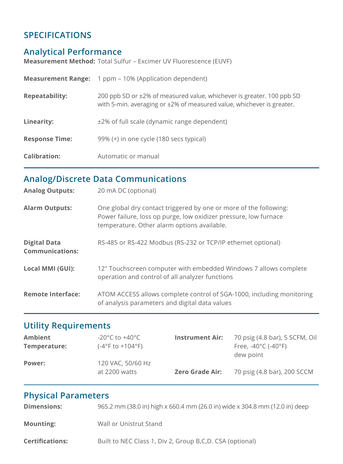#### **SPECIFICATIONS**

#### **Analytical Performance**

**Measurement Method:** Total Sulfur – Excimer UV Fluorescence (EUVF)

|                       | <b>Measurement Range:</b> 1 ppm – 10% (Application dependent)                                                                                  |
|-----------------------|------------------------------------------------------------------------------------------------------------------------------------------------|
| <b>Repeatability:</b> | 200 ppb SD or ±2% of measured value, whichever is greater. 100 ppb SD<br>with 5-min. averaging or ±2% of measured value, whichever is greater. |
| Linearity:            | ±2% of full scale (dynamic range dependent)                                                                                                    |
| <b>Response Time:</b> | 99% (+) in one cycle (180 secs typical)                                                                                                        |
| <b>Calibration:</b>   | Automatic or manual                                                                                                                            |

## **Analog/Discrete Data Communications**

| <b>Analog Outputs:</b>                        | 20 mA DC (optional)                                                                                                                                                                  |
|-----------------------------------------------|--------------------------------------------------------------------------------------------------------------------------------------------------------------------------------------|
| <b>Alarm Outputs:</b>                         | One global dry contact triggered by one or more of the following:<br>Power failure, loss op purge, low oxidizer pressure, low furnace<br>temperature. Other alarm options available. |
| <b>Digital Data</b><br><b>Communications:</b> | RS-485 or RS-422 Modbus (RS-232 or TCP/IP ethernet optional)                                                                                                                         |
| Local MMI (GUI):                              | 12" Touchscreen computer with embedded Windows 7 allows complete<br>operation and control of all analyzer functions                                                                  |
| <b>Remote Interface:</b>                      | ATOM ACCESS allows complete control of SGA-1000, including monitoring<br>of analysis parameters and digital data values                                                              |

## **Utility Requirements**

| <b>Ambient</b> | -20°C to +40°C                       | <b>Instrument Air:</b> | 70 psig (4.8 bar), 5 SCFM, Oil            |
|----------------|--------------------------------------|------------------------|-------------------------------------------|
| Temperature:   | $(-4^{\circ}$ F to $+104^{\circ}$ F) |                        | Free, -40 $^{\circ}$ C (-40 $^{\circ}$ F) |
|                |                                      |                        | dew point                                 |
| Power:         | 120 VAC, 50/60 Hz                    |                        |                                           |
|                | at 2200 watts                        | <b>Zero Grade Air:</b> | 70 psig (4.8 bar), 200 SCCM               |
|                |                                      |                        |                                           |

## **Physical Parameters**

| <b>Dimensions:</b>     | 965.2 mm (38.0 in) high x 660.4 mm (26.0 in) wide x 304.8 mm (12.0 in) deep |
|------------------------|-----------------------------------------------------------------------------|
| <b>Mounting:</b>       | Wall or Unistrut Stand                                                      |
| <b>Certifications:</b> | Built to NEC Class 1, Div 2, Group B,C,D. CSA (optional)                    |